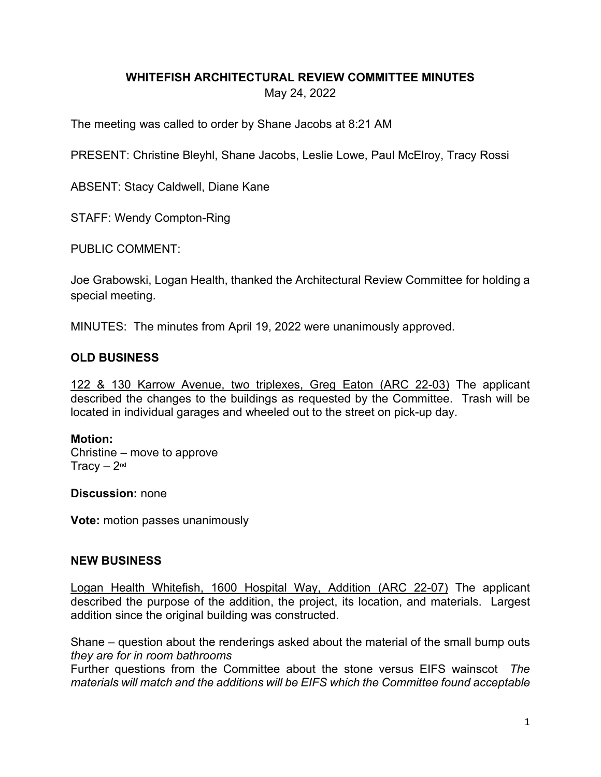### **WHITEFISH ARCHITECTURAL REVIEW COMMITTEE MINUTES** May 24, 2022

The meeting was called to order by Shane Jacobs at 8:21 AM

PRESENT: Christine Bleyhl, Shane Jacobs, Leslie Lowe, Paul McElroy, Tracy Rossi

ABSENT: Stacy Caldwell, Diane Kane

STAFF: Wendy Compton-Ring

PUBLIC COMMENT:

Joe Grabowski, Logan Health, thanked the Architectural Review Committee for holding a special meeting.

MINUTES: The minutes from April 19, 2022 were unanimously approved.

# **OLD BUSINESS**

122 & 130 Karrow Avenue, two triplexes, Greg Eaton (ARC 22-03) The applicant described the changes to the buildings as requested by the Committee. Trash will be located in individual garages and wheeled out to the street on pick-up day.

#### **Motion:**

Christine – move to approve Tracy  $-2<sup>nd</sup>$ 

**Discussion:** none

**Vote:** motion passes unanimously

### **NEW BUSINESS**

Logan Health Whitefish, 1600 Hospital Way, Addition (ARC 22-07) The applicant described the purpose of the addition, the project, its location, and materials. Largest addition since the original building was constructed.

Shane – question about the renderings asked about the material of the small bump outs *they are for in room bathrooms*

Further questions from the Committee about the stone versus EIFS wainscot *The materials will match and the additions will be EIFS which the Committee found acceptable*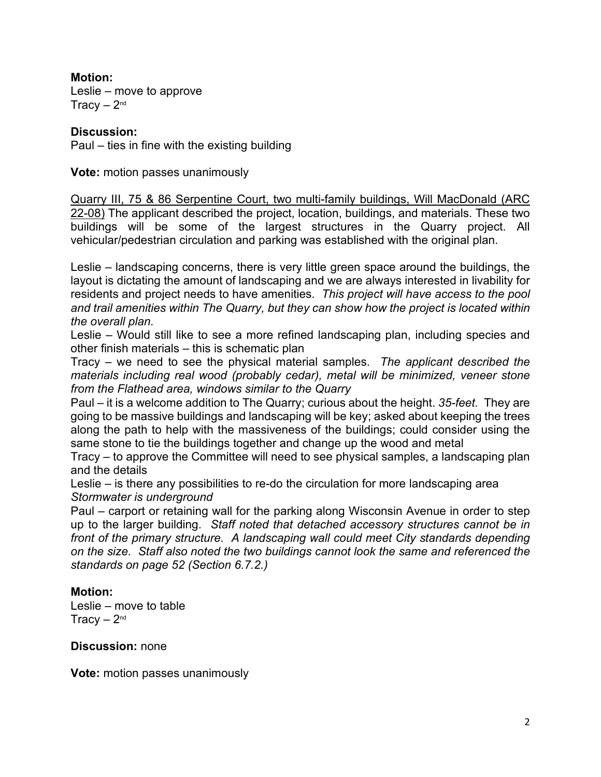**Motion:** Leslie – move to approve Tracy  $-2<sup>nd</sup>$ 

## **Discussion:**

Paul – ties in fine with the existing building

**Vote:** motion passes unanimously

Quarry III, 75 & 86 Serpentine Court, two multi-family buildings, Will MacDonald (ARC 22-08) The applicant described the project, location, buildings, and materials. These two buildings will be some of the largest structures in the Quarry project. All vehicular/pedestrian circulation and parking was established with the original plan.

Leslie – landscaping concerns, there is very little green space around the buildings, the layout is dictating the amount of landscaping and we are always interested in livability for residents and project needs to have amenities. *This project will have access to the pool and trail amenities within The Quarry, but they can show how the project is located within the overall plan.*

Leslie – Would still like to see a more refined landscaping plan, including species and other finish materials – this is schematic plan

Tracy – we need to see the physical material samples. *The applicant described the materials including real wood (probably cedar), metal will be minimized, veneer stone from the Flathead area, windows similar to the Quarry*

Paul – it is a welcome addition to The Quarry; curious about the height. *35-feet.* They are going to be massive buildings and landscaping will be key; asked about keeping the trees along the path to help with the massiveness of the buildings; could consider using the same stone to tie the buildings together and change up the wood and metal

Tracy – to approve the Committee will need to see physical samples, a landscaping plan and the details

Leslie – is there any possibilities to re-do the circulation for more landscaping area *Stormwater is underground* 

Paul – carport or retaining wall for the parking along Wisconsin Avenue in order to step up to the larger building. *Staff noted that detached accessory structures cannot be in front of the primary structure. A landscaping wall could meet City standards depending on the size. Staff also noted the two buildings cannot look the same and referenced the standards on page 52 (Section 6.7.2.)* 

### **Motion:**

Leslie – move to table Tracy  $-2<sup>nd</sup>$ 

**Discussion:** none

**Vote:** motion passes unanimously